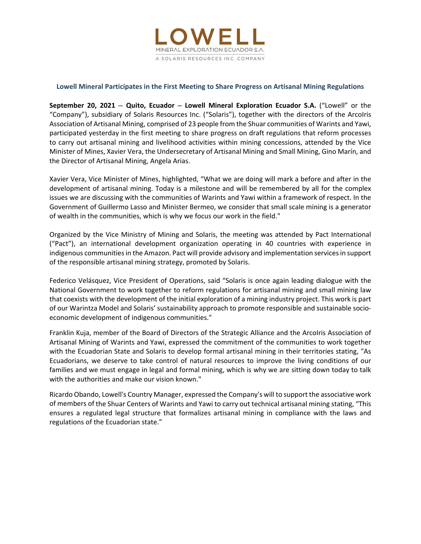

# **Lowell Mineral Participates in the First Meeting to Share Progress on Artisanal Mining Regulations**

**September 20, 2021 – Quito, Ecuador – Lowell Mineral Exploration Ecuador S.A.** ("Lowell" or the "Company"), subsidiary of Solaris Resources Inc. ("Solaris"), together with the directors of the ArcoIris Association of Artisanal Mining, comprised of 23 people from the Shuar communities of Warints and Yawi, participated yesterday in the first meeting to share progress on draft regulations that reform processes to carry out artisanal mining and livelihood activities within mining concessions, attended by the Vice Minister of Mines, Xavier Vera, the Undersecretary of Artisanal Mining and Small Mining, Gino Marín, and the Director of Artisanal Mining, Angela Arias.

Xavier Vera, Vice Minister of Mines, highlighted, "What we are doing will mark a before and after in the development of artisanal mining. Today is a milestone and will be remembered by all for the complex issues we are discussing with the communities of Warints and Yawi within a framework of respect. In the Government of Guillermo Lasso and Minister Bermeo, we consider that small scale mining is a generator of wealth in the communities, which is why we focus our work in the field."

Organized by the Vice Ministry of Mining and Solaris, the meeting was attended by Pact International ("Pact"), an international development organization operating in 40 countries with experience in indigenous communities in the Amazon. Pact will provide advisory and implementation services in support of the responsible artisanal mining strategy, promoted by Solaris.

Federico Velásquez, Vice President of Operations, said "Solaris is once again leading dialogue with the National Government to work together to reform regulations for artisanal mining and small mining law that coexists with the development of the initial exploration of a mining industry project. This work is part of our Warintza Model and Solaris' sustainability approach to promote responsible and sustainable socio‐ economic development of indigenous communities."

Franklin Kuja, member of the Board of Directors of the Strategic Alliance and the Arcolris Association of Artisanal Mining of Warints and Yawi, expressed the commitment of the communities to work together with the Ecuadorian State and Solaris to develop formal artisanal mining in their territories stating, "As Ecuadorians, we deserve to take control of natural resources to improve the living conditions of our families and we must engage in legal and formal mining, which is why we are sitting down today to talk with the authorities and make our vision known."

Ricardo Obando, Lowell's Country Manager, expressed the Company's will to support the associative work of members of the Shuar Centers of Warints and Yawi to carry out technical artisanal mining stating, "This ensures a regulated legal structure that formalizes artisanal mining in compliance with the laws and regulations of the Ecuadorian state."